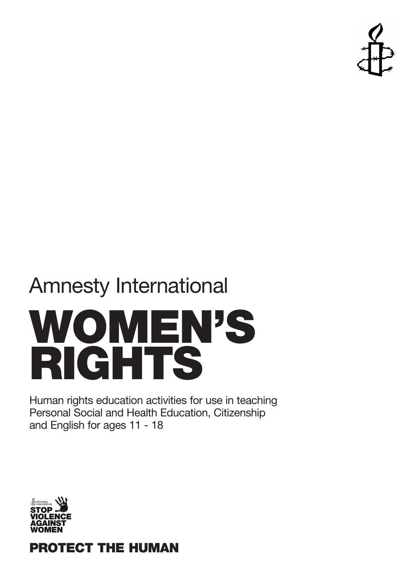

# Amnesty International **WOMEN'S RIGHTS**

Human rights education activities for use in teaching Personal Social and Health Education, Citizenship and English for ages 11 - 18



**PROTECT THE HUMAN**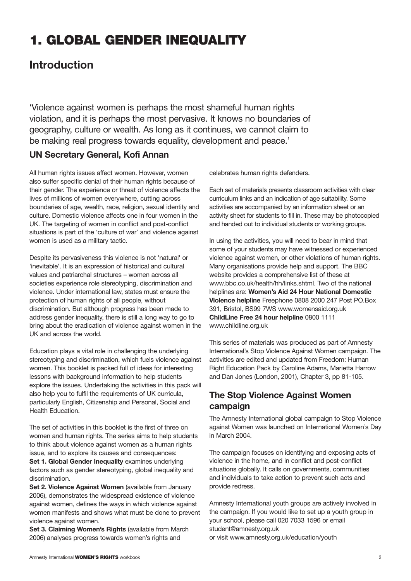# **1. GLOBAL GENDER INEQUALITY**

# **Introduction**

'Violence against women is perhaps the most shameful human rights violation, and it is perhaps the most pervasive. It knows no boundaries of geography, culture or wealth. As long as it continues, we cannot claim to be making real progress towards equality, development and peace.'

### **UN Secretary General, Kofi Annan**

All human rights issues affect women. However, women also suffer specific denial of their human rights because of their gender. The experience or threat of violence affects the lives of millions of women everywhere, cutting across boundaries of age, wealth, race, religion, sexual identity and culture. Domestic violence affects one in four women in the UK. The targeting of women in conflict and post-conflict situations is part of the 'culture of war' and violence against women is used as a military tactic.

Despite its pervasiveness this violence is not 'natural' or 'inevitable'. It is an expression of historical and cultural values and patriarchal structures – women across all societies experience role stereotyping, discrimination and violence. Under international law, states must ensure the protection of human rights of all people, without discrimination. But although progress has been made to address gender inequality, there is still a long way to go to bring about the eradication of violence against women in the UK and across the world.

Education plays a vital role in challenging the underlying stereotyping and discrimination, which fuels violence against women. This booklet is packed full of ideas for interesting lessons with background information to help students explore the issues. Undertaking the activities in this pack will also help you to fulfil the requirements of UK curricula, particularly English, Citizenship and Personal, Social and Health Education.

The set of activities in this booklet is the first of three on women and human rights. The series aims to help students to think about violence against women as a human rights issue, and to explore its causes and consequences: **Set 1. Global Gender Inequality** examines underlying factors such as gender stereotyping, global inequality and discrimination.

**Set 2. Violence Against Women** (available from January 2006), demonstrates the widespread existence of violence against women, defines the ways in which violence against women manifests and shows what must be done to prevent violence against women.

**Set 3. Claiming Women's Rights** (available from March 2006) analyses progress towards women's rights and

celebrates human rights defenders.

Each set of materials presents classroom activities with clear curriculum links and an indication of age suitability. Some activities are accompanied by an information sheet or an activity sheet for students to fill in. These may be photocopied and handed out to individual students or working groups.

In using the activities, you will need to bear in mind that some of your students may have witnessed or experienced violence against women, or other violations of human rights. Many organisations provide help and support. The BBC website provides a comprehensive list of these at www.bbc.co.uk/health/hh/links.shtml. Two of the national helplines are: **Women's Aid 24 Hour National Domestic Violence helpline** Freephone 0808 2000 247 Post PO.Box 391, Bristol, BS99 7WS www.womensaid.org.uk **ChildLine Free 24 hour helpline** 0800 1111 www.childline.org.uk

This series of materials was produced as part of Amnesty International's Stop Violence Against Women campaign. The activities are edited and updated from Freedom: Human Right Education Pack by Caroline Adams, Marietta Harrow and Dan Jones (London, 2001), Chapter 3, pp 81-105.

### **The Stop Violence Against Women campaign**

The Amnesty International global campaign to Stop Violence against Women was launched on International Women's Day in March 2004.

The campaign focuses on identifying and exposing acts of violence in the home, and in conflict and post-conflict situations globally. It calls on governments, communities and individuals to take action to prevent such acts and provide redress.

Amnesty International youth groups are actively involved in the campaign. If you would like to set up a youth group in your school, please call 020 7033 1596 or email student@amnesty.org.uk or visit www.amnesty.org.uk/education/youth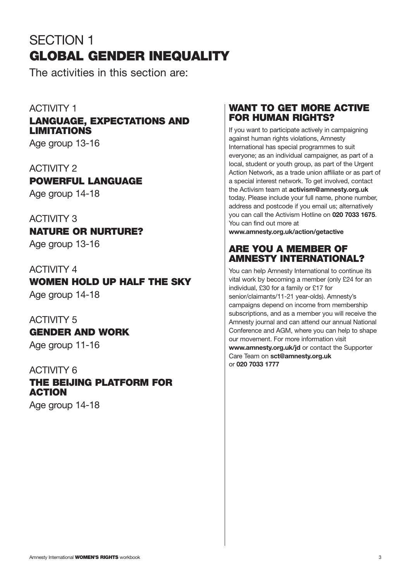# SECTION 1 **GLOBAL GENDER INEQUALITY**

The activities in this section are:

## ACTIVITY 1

# **LANGUAGE, EXPECTATIONS AND LIMITATIONS**

Age group 13-16

### ACTIVITY 2

**POWERFUL LANGUAGE**

Age group 14-18

# ACTIVITY 3

**NATURE OR NURTURE?**

Age group 13-16

### ACTIVITY 4

# **WOMEN HOLD UP HALF THE SKY** Age group 14-18

ACTIVITY 5 **GENDER AND WORK** Age group 11-16

### ACTIVITY 6

# **THE BEIJING PLATFORM FOR ACTION**

Age group 14-18

### **WANT TO GET MORE ACTIVE FOR HUMAN RIGHTS?**

If you want to participate actively in campaigning against human rights violations, Amnesty International has special programmes to suit everyone; as an individual campaigner, as part of a local, student or youth group, as part of the Urgent Action Network, as a trade union affiliate or as part of a special interest network. To get involved, contact the Activism team at **activism@amnesty.org.uk** today. Please include your full name, phone number, address and postcode if you email us; alternatively you can call the Activism Hotline on **020 7033 1675**. You can find out more at

**www.amnesty.org.uk/action/getactive** 

## **ARE YOU A MEMBER OF AMNESTY INTERNATIONAL?**

You can help Amnesty International to continue its vital work by becoming a member (only £24 for an individual, £30 for a family or £17 for senior/claimants/11-21 year-olds). Amnesty's campaigns depend on income from membership subscriptions, and as a member you will receive the Amnesty journal and can attend our annual National Conference and AGM, where you can help to shape our movement. For more information visit **www.amnesty.org.uk/jd** or contact the Supporter Care Team on **sct@amnesty.org.uk** or **020 7033 1777**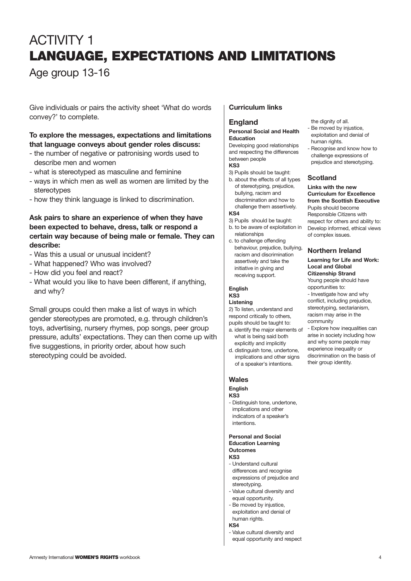# ACTIVITY 1 **LANGUAGE, EXPECTATIONS AND LIMITATIONS**

# Age group 13-16

Give individuals or pairs the activity sheet 'What do words convey?' to complete.

#### **To explore the messages, expectations and limitations that language conveys about gender roles discuss:**

- the number of negative or patronising words used to describe men and women
- what is stereotyped as masculine and feminine
- ways in which men as well as women are limited by the stereotypes
- how they think language is linked to discrimination.

#### **Ask pairs to share an experience of when they have been expected to behave, dress, talk or respond a certain way because of being male or female. They can describe:**

- Was this a usual or unusual incident?
- What happened? Who was involved?
- How did you feel and react?
- What would you like to have been different, if anything, and why?

Small groups could then make a list of ways in which gender stereotypes are promoted, e.g. through children's toys, advertising, nursery rhymes, pop songs, peer group pressure, adults' expectations. They can then come up with five suggestions, in priority order, about how such stereotyping could be avoided.

#### **Curriculum links**

#### **England**

#### **Personal Social and Health Education**

Developing good relationships and respecting the differences between people **KS3**

- 3) Pupils should be taught:
- b. about the effects of all types of stereotyping, prejudice, bullying, racism and discrimination and how to challenge them assertively.

#### **KS4**

- 3) Pupils should be taught: b. to be aware of exploitation in relationships
- c. to challenge offending behaviour, prejudice, bullying, racism and discrimination assertively and take the initiative in giving and receiving support.

#### **English**

### **KS3**

#### **Listening**

2) To listen, understand and respond critically to others, pupils should be taught to:

- a. identify the major elements of what is being said both explicitly and implicitly
- d. distinguish tone, undertone, implications and other signs of a speaker's intentions.

#### **Wales**

#### **English KS3**

- Distinguish tone, undertone, implications and other indicators of a speaker's intentions.

#### **Personal and Social Education Learning Outcomes KS3**

- Understand cultural differences and recognise expressions of prejudice and stereotyping.
- Value cultural diversity and equal opportunity.
- Be moved by injustice, exploitation and denial of human rights.

#### **KS4**

- Value cultural diversity and equal opportunity and respect

# prejudice and stereotyping. **Scotland**

the dignity of all. - Be moved by injustice. exploitation and denial of

human rights.

**Links with the new Curriculum for Excellence from the Scottish Executive** Pupils should become Responsible Citizens with respect for others and ability to: Develop informed, ethical views of complex issues.

- Recognise and know how to challenge expressions of

### **Northern Ireland**

#### **Learning for Life and Work: Local and Global Citizenship Strand**

Young people should have opportunities to:

- Investigate how and why conflict, including prejudice, stereotyping, sectarianism, racism may arise in the community

- Explore how inequalities can arise in society including how and why some people may experience inequality or discrimination on the basis of their group identity.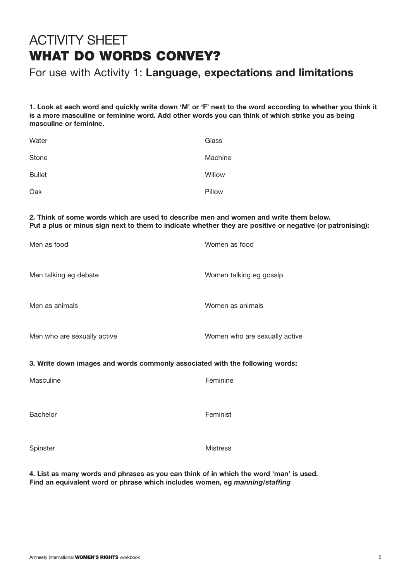# ACTIVITY SHEET **WHAT DO WORDS CONVEY?**

# For use with Activity 1: **Language, expectations and limitations**

**1. Look at each word and quickly write down 'M' or 'F' next to the word according to whether you think it is a more masculine or feminine word. Add other words you can think of which strike you as being masculine or feminine.**

| Water         | Glass   |
|---------------|---------|
| Stone         | Machine |
| <b>Bullet</b> | Willow  |
| Oak           | Pillow  |

**2. Think of some words which are used to describe men and women and write them below. Put a plus or minus sign next to them to indicate whether they are positive or negative (or patronising):**

| Men as food                                                                  | Women as food                 |  |
|------------------------------------------------------------------------------|-------------------------------|--|
| Men talking eg debate                                                        | Women talking eg gossip       |  |
| Men as animals                                                               | Women as animals              |  |
| Men who are sexually active                                                  | Women who are sexually active |  |
| 3. Write down images and words commonly associated with the following words: |                               |  |
| Masculine                                                                    | Feminine                      |  |
|                                                                              |                               |  |

Bachelor **Feminist** 

Spinster Mistress

**4. List as many words and phrases as you can think of in which the word 'man' is used. Find an equivalent word or phrase which includes women, eg** *manning/staffing*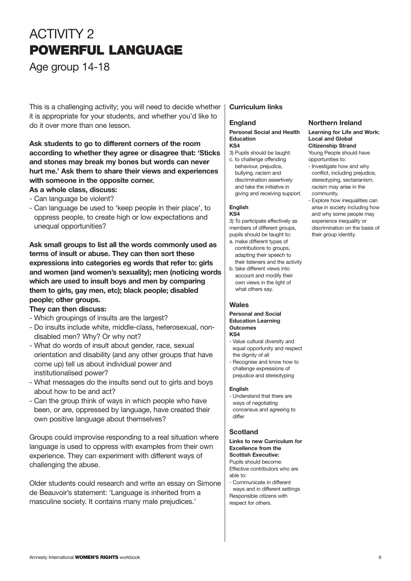# ACTIVITY 2 **POWERFUL LANGUAGE**

Age group 14-18

This is a challenging activity; you will need to decide whether it is appropriate for your students, and whether you'd like to do it over more than one lesson.

#### **Ask students to go to different corners of the room according to whether they agree or disagree that: 'Sticks and stones may break my bones but words can never hurt me.' Ask them to share their views and experiences with someone in the opposite corner.**

#### **As a whole class, discuss:**

- Can language be violent?
- Can language be used to 'keep people in their place', to oppress people, to create high or low expectations and unequal opportunities?

**Ask small groups to list all the words commonly used as terms of insult or abuse. They can then sort these expressions into categories eg words that refer to: girls and women (and women's sexuality); men (noticing words which are used to insult boys and men by comparing them to girls, gay men, etc); black people; disabled people; other groups.** 

#### **They can then discuss:**

- Which groupings of insults are the largest?
- Do insults include white, middle-class, heterosexual, nondisabled men? Why? Or why not?
- What do words of insult about gender, race, sexual orientation and disability (and any other groups that have come up) tell us about individual power and institutionalised power?
- What messages do the insults send out to girls and boys about how to be and act?
- Can the group think of ways in which people who have been, or are, oppressed by language, have created their own positive language about themselves?

Groups could improvise responding to a real situation where language is used to oppress with examples from their own experience. They can experiment with different ways of challenging the abuse.

Older students could research and write an essay on Simone de Beauvoir's statement: 'Language is inherited from a masculine society. It contains many male prejudices.'

#### **Curriculum links**

#### **England**

#### **Personal Social and Health Education KS4**

- 3) Pupils should be taught: c. to challenge offending
- behaviour, prejudice, bullying, racism and discrimination assertively and take the initiative in giving and receiving support.

#### **English**

#### **KS4**

3) To participate effectively as members of different groups, pupils should be taught to:

- a. make different types of contributions to groups, adapting their speech to their listeners and the activity
- b. take different views into account and modify their own views in the light of what others say.

#### **Wales**

#### **Personal and Social Education Learning Outcomes KS4**

- Value cultural diversity and equal opportunity and respect the dignity of all
- Recognise and know how to challenge expressions of prejudice and stereotyping

#### **English**

- Understand that there are ways of negotiating concensus and agreeing to differ

#### **Scotland**

**Links to new Curriculum for Excellence from the Scottish Executive:** Pupils should become: Effective contributors who are able to: - Communicate in different

ways and in different settings Responsible citizens with respect for others.

# **Northern Ireland**

#### **Learning for Life and Work: Local and Global Citizenship Strand**

Young People should have opportunities to:

- Investigate how and why conflict, including prejudice, stereotyping, sectarianism, racism may arise in the community.

- Explore how inequalities can arise in society including how and why some people may experience inequality or discrimination on the basis of their group identity.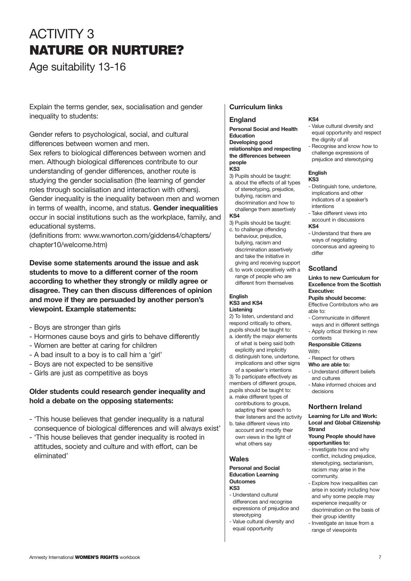# ACTIVITY 3 **NATURE OR NURTURE?**

Age suitability 13-16

Explain the terms gender, sex, socialisation and gender inequality to students:

Gender refers to psychological, social, and cultural differences between women and men. Sex refers to biological differences between women and men. Although biological differences contribute to our understanding of gender differences, another route is studying the gender socialisation (the learning of gender roles through socialisation and interaction with others). Gender inequality is the inequality between men and women in terms of wealth, income, and status. **Gender inequalities** occur in social institutions such as the workplace, family, and educational systems.

(definitions from: www.wwnorton.com/giddens4/chapters/ chapter10/welcome.htm)

**Devise some statements around the issue and ask students to move to a different corner of the room according to whether they strongly or mildly agree or disagree. They can then discuss differences of opinion and move if they are persuaded by another person's viewpoint. Example statements:**

- Boys are stronger than girls
- Hormones cause boys and girls to behave differently
- Women are better at caring for children
- A bad insult to a boy is to call him a 'girl'
- Boys are not expected to be sensitive
- Girls are just as competitive as boys

#### **Older students could research gender inequality and hold a debate on the opposing statements:**

- 'This house believes that gender inequality is a natural consequence of biological differences and will always exist'
- 'This house believes that gender inequality is rooted in attitudes, society and culture and with effort, can be eliminated'

#### **Curriculum links**

#### **England**

**Personal Social and Health Education Developing good relationships and respecting the differences between people**

- **KS3**
- 3) Pupils should be taught: a. about the effects of all types of stereotyping, prejudice,
- bullying, racism and discrimination and how to challenge them assertively **KS4**

- 3) Pupils should be taught:
- c. to challenge offending behaviour, prejudice, bullying, racism and discrimination assertively and take the initiative in giving and receiving support
- d. to work cooperatively with a range of people who are different from themselves

#### **English KS3 and KS4**

# **Listening**

2) To listen, understand and respond critically to others,

- pupils should be taught to: a. identify the major elements of what is being said both explicitly and implicitly
- d. distinguish tone, undertone, implications and other signs
- of a speaker's intentions 3) To participate effectively as
- members of different groups,
- pupils should be taught to: a. make different types of
- contributions to groups, adapting their speech to their listeners and the activity
- b. take different views into account and modify their own views in the light of what others say

#### **Wales**

#### **Personal and Social Education Learning Outcomes KS3**

- Understand cultural differences and recognise expressions of prejudice and stereotyping
- Value cultural diversity and equal opportunity

#### **KS4**

- Value cultural diversity and equal opportunity and respect the dignity of all
- Recognise and know how to challenge expressions of prejudice and stereotyping

#### **English**

#### **KS3**

- Distinguish tone, undertone, implications and other indicators of a speaker's intentions
- Take different views into account in discussions

#### **KS4**

- Understand that there are ways of negotiating concensus and agreeing to differ

#### **Scotland**

#### **Links to new Curriculum for Excellence from the Scottish Executive:**

#### **Pupils should become:** Effective Contributors who are able to:

- Communicate in different
- ways and in different settings - Apply critical thinking in new contexts

#### **Responsible Citizens**  With:

- Respect for others
- **Who are able to:**
- Understand different beliefs and cultures
- Make informed choices and decisions

#### **Northern Ireland**

**Learning for Life and Work: Local and Global Citizenship Strand**

#### **Young People should have opportunities to:**

- Investigate how and why conflict, including prejudice, stereotyping, sectarianism, racism may arise in the community.
- Explore how inequalities can arise in society including how and why some people may experience inequality or discrimination on the basis of their group identity
- Investigate an issue from a range of viewpoints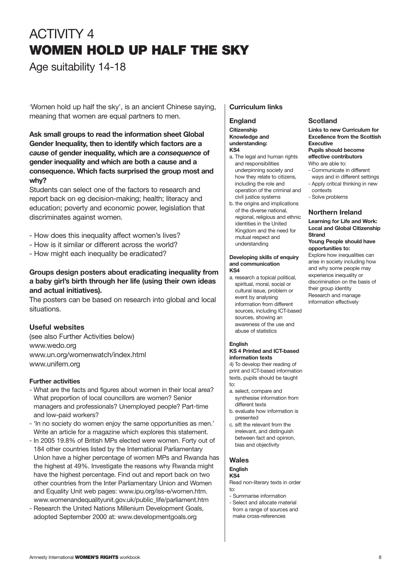# ACTIVITY 4 **WOMEN HOLD UP HALF THE SKY**

Age suitability 14-18

'Women hold up half the sky', is an ancient Chinese saying, meaning that women are equal partners to men.

**Ask small groups to read the information sheet Global Gender Inequality, then to identify which factors are a** *cause* **of gender inequality, which are a** *consequence* **of gender inequality and which are both a cause and a consequence. Which facts surprised the group most and why?**

Students can select one of the factors to research and report back on eg decision-making; health; literacy and education; poverty and economic power, legislation that discriminates against women.

- How does this inequality affect women's lives?
- How is it similar or different across the world?
- How might each inequality be eradicated?

#### **Groups design posters about eradicating inequality from a baby girl's birth through her life (using their own ideas and actual initiatives).**

The posters can be based on research into global and local situations.

#### **Useful websites**

(see also Further Activities below) www.wedo.org www.un.org/womenwatch/index.html www.unifem.org

#### **Further activities**

- What are the facts and figures about women in their local area? What proportion of local councillors are women? Senior managers and professionals? Unemployed people? Part-time and low-paid workers?
- 'In no society do women enjoy the same opportunities as men.' Write an article for a magazine which explores this statement.
- In 2005 19.8% of British MPs elected were women. Forty out of 184 other countries listed by the International Parliamentary Union have a higher percentage of women MPs and Rwanda has the highest at 49%. Investigate the reasons why Rwanda might have the highest percentage. Find out and report back on two other countries from the Inter Parliamentary Union and Women and Equality Unit web pages: www.ipu.org/iss-e/women.htm. www.womenandequalityunit.gov.uk/public\_life/parliament.htm
- Research the United Nations Millenium Development Goals, adopted September 2000 at: www.developmentgoals.org

#### **Curriculum links**

#### **England**

**Citizenship Knowledge and understanding: KS4**

- a. The legal and human rights and responsibilities underpinning society and how they relate to citizens, including the role and operation of the criminal and civil justice systems
- b. the origins and implications of the diverse national, regional, religious and ethnic identities in the United Kingdom and the need for mutual respect and understanding

#### **Developing skills of enquiry and communication KS4**

a. research a topical political, spiritual, moral, social or cultural issue, problem or event by analysing information from different sources, including ICT-based sources, showing an awareness of the use and abuse of statistics

#### **English**

#### **KS 4 Printed and ICT-based information texts**

4) To develop their reading of print and ICT-based information texts, pupils should be taught to:

- a. select, compare and synthesise information from different texts
- b. evaluate how information is presented
- c. sift the relevant from the irrelevant, and distinguish between fact and opinion, bias and objectivity

#### **Wales**

#### **English**

**KS4**  Read non-literary texts in order  $t^{\circ}$ 

- Summarise information
- Select and allocate material from a range of sources and make cross-references

#### **Local and Global Citizenship Strand Young People should have**

**Northern Ireland Learning for Life and Work:**

**Pupils should become effective contributors**  Who are able to:

- Communicate in different ways and in different settings - Apply critical thinking in new

**opportunities to:** Explore how inequalities can arise in society including how and why some people may

experience inequality or discrimination on the basis of their group identity Research and manage information effectively

#### **Scotland Links to new Curriculum for Excellence from the Scottish Executive**

contexts - Solve problems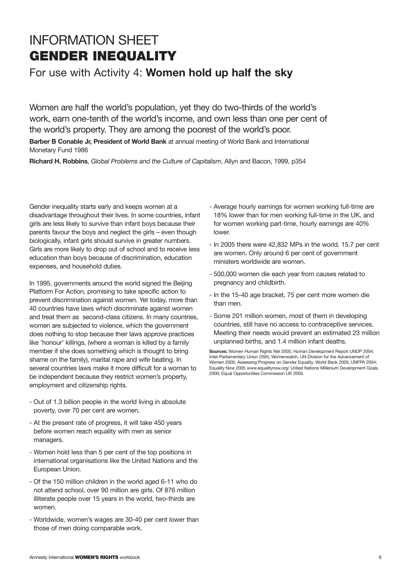# INFORMATION SHEET **GENDER INEQUALITY**

For use with Activity 4: **Women hold up half the sky**

Women are half the world's population, yet they do two-thirds of the world's work, earn one-tenth of the world's income, and own less than one per cent of the world's property. They are among the poorest of the world's poor.

**Barber B Conable Jr, President of World Bank** at annual meeting of World Bank and International Monetary Fund 1986

**Richard H. Robbins**, *Global Problems and the Culture of Capitalism*, Allyn and Bacon, 1999, p354

Gender inequality starts early and keeps women at a disadvantage throughout their lives. In some countries, infant girls are less likely to survive than infant boys because their parents favour the boys and neglect the girls – even though biologically, infant girls should survive in greater numbers. Girls are more likely to drop out of school and to receive less education than boys because of discrimination, education expenses, and household duties.

In 1995, governments around the world signed the Beijing Platform For Action, promising to take specific action to prevent discrimination against women. Yet today, more than 40 countries have laws which discriminate against women and treat them as second-class citizens. In many countries, women are subjected to violence, which the government does nothing to stop because their laws approve practices like 'honour' killings, (where a woman is killed by a family member if she does something which is thought to bring shame on the family), marital rape and wife beating. In several countries laws make it more difficult for a woman to be independent because they restrict women's property, employment and citizenship rights.

- Out of 1.3 billion people in the world living in absolute poverty, over 70 per cent are women.
- At the present rate of progress, it will take 450 years before women reach equality with men as senior managers.
- Women hold less than 5 per cent of the top positions in international organisations like the United Nations and the European Union.
- Of the 150 million children in the world aged 6-11 who do not attend school, over 90 million are girls. Of 876 million illiterate people over 15 years in the world, two-thirds are women.
- Worldwide, women's wages are 30-40 per cent lower than those of men doing comparable work.
- Average hourly earnings for women working full-time are 18% lower than for men working full-time in the UK, and for women working part-time, hourly earnings are 40% lower.
- In 2005 there were 42,832 MPs in the world. 15.7 per cent are women. Only around 6 per cent of government ministers worldwide are women.
- 500,000 women die each year from causes related to pregnancy and childbirth.
- In the 15-40 age bracket, 75 per cent more women die than men.
- Some 201 million women, most of them in developing countries, still have no access to contraceptive services. Meeting their needs would prevent an estimated 23 million unplanned births, and 1.4 million infant deaths.

**Sources:** Women Human Rights Net 2005; Human Development Report UNDP 2004; Inter-Parliamentary Union 2005; Womenwatch, UN Division for the Advancement of Women 2005; Assessing Progress on Gender Equality, World Bank 2005; UNFPA 2004; Equality Now 2005 www.equalitynow.org/ United Nations Millenium Development Goals, 2000; Equal Opportunities Commission UK 2005.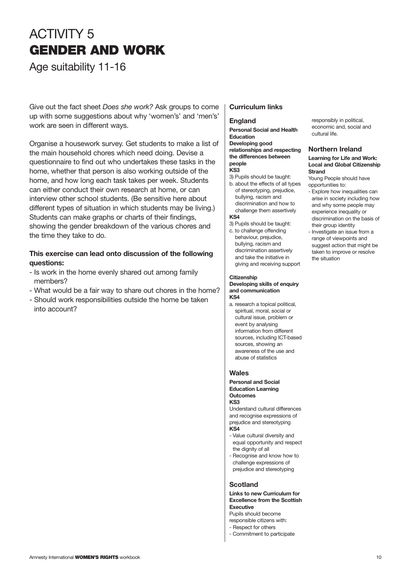# ACTIVITY 5 **GENDER AND WORK**

Age suitability 11-16

Give out the fact sheet *Does she work?* Ask groups to come up with some suggestions about why 'women's' and 'men's' work are seen in different ways.

Organise a housework survey. Get students to make a list of the main household chores which need doing. Devise a questionnaire to find out who undertakes these tasks in the home, whether that person is also working outside of the home, and how long each task takes per week. Students can either conduct their own research at home, or can interview other school students. (Be sensitive here about different types of situation in which students may be living.) Students can make graphs or charts of their findings, showing the gender breakdown of the various chores and the time they take to do.

#### **This exercise can lead onto discussion of the following questions:**

- Is work in the home evenly shared out among family members?
- What would be a fair way to share out chores in the home?
- Should work responsibilities outside the home be taken into account?

#### **Curriculum links**

#### **England**

**Personal Social and Health Education Developing good relationships and respecting the differences between people**

#### **KS3**

3) Pupils should be taught: b. about the effects of all types of stereotyping, prejudice, bullying, racism and discrimination and how to

challenge them assertively **KS4** 3) Pupils should be taught:

c. to challenge offending behaviour, prejudice, bullying, racism and discrimination assertively and take the initiative in giving and receiving support

#### **Citizenship**

**Developing skills of enquiry and communication KS4**

a. research a topical political, spiritual, moral, social or cultural issue, problem or event by analysing information from different sources, including ICT-based sources, showing an awareness of the use and abuse of statistics

#### **Wales**

**Personal and Social Education Learning Outcomes KS3**

Understand cultural differences and recognise expressions of prejudice and stereotyping **KS4**

- Value cultural diversity and equal opportunity and respect the dignity of all
- Recognise and know how to challenge expressions of prejudice and stereotyping

#### **Scotland**

#### **Links to new Curriculum for Excellence from the Scottish Executive**

Pupils should become

- responsible citizens with: - Respect for others
- Commitment to participate

responsibly in political, economic and, social and cultural life.

#### **Northern Ireland**

#### **Learning for Life and Work: Local and Global Citizenship Strand**

Young People should have opportunities to:

- Explore how inequalities can arise in society including how and why some people may experience inequality or discrimination on the basis of their group identity
- Investigate an issue from a range of viewpoints and suggest action that might be taken to improve or resolve the situation